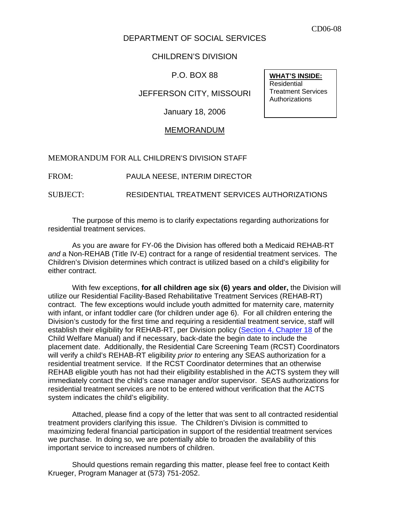## DEPARTMENT OF SOCIAL SERVICES

## CHILDREN'S DIVISION

P.O. BOX 88

JEFFERSON CITY, MISSOURI

January 18, 2006

## MEMORANDUM

MEMORANDUM FOR ALL CHILDREN'S DIVISION STAFF

FROM: PAULA NEESE, INTERIM DIRECTOR

SUBJECT: RESIDENTIAL TREATMENT SERVICES AUTHORIZATIONS

 The purpose of this memo is to clarify expectations regarding authorizations for residential treatment services.

As you are aware for FY-06 the Division has offered both a Medicaid REHAB-RT *and* a Non-REHAB (Title IV-E) contract for a range of residential treatment services. The Children's Division determines which contract is utilized based on a child's eligibility for either contract.

With few exceptions, **for all children age six (6) years and older,** the Division will utilize our Residential Facility-Based Rehabilitative Treatment Services (REHAB-RT) contract. The few exceptions would include youth admitted for maternity care, maternity with infant, or infant toddler care (for children under age 6). For all children entering the Division's custody for the first time and requiring a residential treatment service, staff will establish their eligibility for REHAB-RT, per Division policy ([Section 4, Chapter 18](http://www.dss.mo.gov/cd/info/cwmanual/section4/ch18/sec4ch18index.htm) of the Child Welfare Manual) and if necessary, back-date the begin date to include the placement date. Additionally, the Residential Care Screening Team (RCST) Coordinators will verify a child's REHAB-RT eligibility *prior to* entering any SEAS authorization for a residential treatment service. If the RCST Coordinator determines that an otherwise REHAB eligible youth has not had their eligibility established in the ACTS system they will immediately contact the child's case manager and/or supervisor. SEAS authorizations for residential treatment services are not to be entered without verification that the ACTS system indicates the child's eligibility.

 Attached, please find a copy of the letter that was sent to all contracted residential treatment providers clarifying this issue. The Children's Division is committed to maximizing federal financial participation in support of the residential treatment services we purchase. In doing so, we are potentially able to broaden the availability of this important service to increased numbers of children.

 Should questions remain regarding this matter, please feel free to contact Keith Krueger, Program Manager at (573) 751-2052.

**WHAT'S INSIDE:**  Residential Treatment Services Authorizations